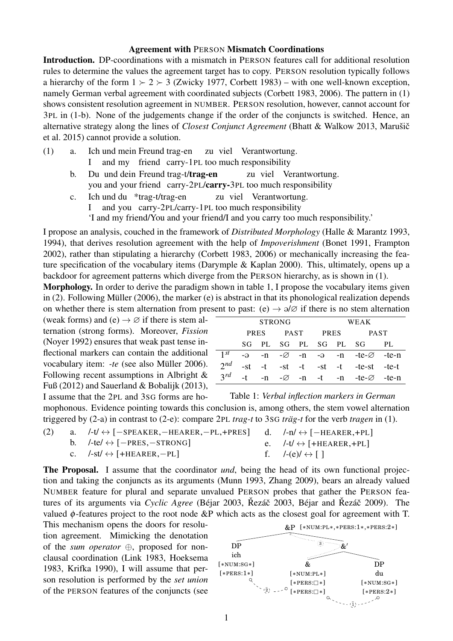## Agreement with PERSON Mismatch Coordinations

Introduction. DP-coordinations with a mismatch in PERSON features call for additional resolution rules to determine the values the agreement target has to copy. PERSON resolution typically follows a hierarchy of the form  $1 \succ 2 \succ 3$  (Zwicky 1977, Corbett 1983) – with one well-known exception, namely German verbal agreement with coordinated subjects (Corbett 1983, 2006). The pattern in (1) shows consistent resolution agreement in NUMBER. PERSON resolution, however, cannot account for 3PL in (1-b). None of the judgements change if the order of the conjuncts is switched. Hence, an alternative strategy along the lines of *Closest Conjunct Agreement* (Bhatt & Walkow 2013, Marušič et al. 2015) cannot provide a solution.

- (1) a. Ich und mein Freund trag-en I and my friend carry-1PL too much responsibility zu viel Verantwortung.
	- b. Du und dein Freund trag-t/trag-en you and your friend carry-2PL/carry-3PL too much responsibility zu viel Verantwortung.
	- c. Ich und du \*trag-t/trag-en I and you carry-2PL/carry-1PL too much responsibility zu viel Verantwortung. 'I and my friend/You and your friend/I and you carry too much responsibility.'

I propose an analysis, couched in the framework of *Distributed Morphology* (Halle & Marantz 1993, 1994), that derives resolution agreement with the help of *Impoverishment* (Bonet 1991, Frampton 2002), rather than stipulating a hierarchy (Corbett 1983, 2006) or mechanically increasing the feature specification of the vocabulary items (Darymple & Kaplan 2000). This, ultimately, opens up a backdoor for agreement patterns which diverge from the PERSON hierarchy, as is shown in (1).

Morphology. In order to derive the paradigm shown in table 1, I propose the vocabulary items given in (2). Following Müller (2006), the marker (e) is abstract in that its phonological realization depends on whether there is stem alternation from present to past: (e)  $\rightarrow$   $\partial/\partial$  if there is no stem alternation

(weak forms) and (e)  $\rightarrow \emptyset$  if there is stem alternation (strong forms). Moreover, *Fission* (Noyer 1992) ensures that weak past tense inflectional markers can contain the additional vocabulary item: *-te* (see also Müller 2006). Following recent assumptions in Albright & Fuß (2012) and Sauerland & Bobalijk (2013), I assume that the 2PL and 3SG forms are ho-

|     | <b>STRONG</b> |  |             |  | WEAK              |  |                                                              |     |
|-----|---------------|--|-------------|--|-------------------|--|--------------------------------------------------------------|-----|
|     | PRES          |  | <b>PAST</b> |  | <b>PRES</b>       |  | <b>PAST</b>                                                  |     |
|     | SG.           |  |             |  | PL SG PL SG PL SG |  |                                                              | PL. |
| 1st |               |  |             |  |                   |  | $-a$ -n - $\varnothing$ -n - $a$ -n -te- $\varnothing$ -te-n |     |
| 2nd |               |  |             |  |                   |  | $-st -st -st -t -st -t -te-st -te-t$                         |     |
| 2rd | –t –          |  |             |  |                   |  | $-n$ $-\varnothing$ $-n$ $-t$ $-n$ $-te-\varnothing$ $-te-n$ |     |

Table 1: *Verbal inflection markers in German*

mophonous. Evidence pointing towards this conclusion is, among others, the stem vowel alternation triggered by (2-a) in contrast to (2-e): compare 2PL *trag-t* to 3SG *träg-t* for the verb *tragen* in (1).

| (2) | a. $/\text{-}t \leftrightarrow [-\text{SPEAKER}, -\text{HEAREN}, -\text{PL}, +\text{PRES}]$ d. $/\text{-}n \leftrightarrow [-\text{HEAREN}, +\text{PL}]$ |                                        |
|-----|----------------------------------------------------------------------------------------------------------------------------------------------------------|----------------------------------------|
|     | b. $/$ -te/ $\leftrightarrow$ [-PRES, -STRONG]                                                                                                           | e. $/-t/\leftrightarrow$ [+HEARER,+PL] |
|     | c. $/-st$ $\leftrightarrow$ $[+HEAREN,-PL]$                                                                                                              | $f. \t/-(e)/ \leftrightarrow 1$        |

The Proposal. I assume that the coordinator *und*, being the head of its own functional projection and taking the conjuncts as its arguments (Munn 1993, Zhang 2009), bears an already valued NUMBER feature for plural and separate unvalued PERSON probes that gather the PERSON features of its arguments via *Cyclic Agree* (Béjar 2003, Řezáč 2003, Béjar and Řezáč 2009). The valued  $\phi$ -features project to the root node &P which acts as the closest goal for agreement with T.

This mechanism opens the doors for resolution agreement. Mimicking the denotation of the *sum operator* ⊕, proposed for nonclausal coordination (Link 1983, Hoeksema 1983, Krifka 1990), I will assume that person resolution is performed by the *set union* of the PERSON features of the conjuncts (see